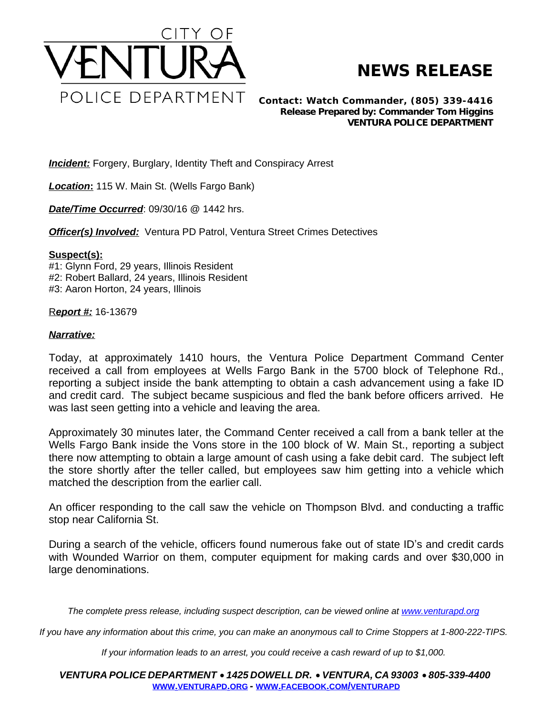

## **NEWS RELEASE**

*Contact: Watch Commander, (805) 339-4416 Release Prepared by: Commander Tom Higgins* **VENTURA POLICE DEPARTMENT**

**Incident:** Forgery, Burglary, Identity Theft and Conspiracy Arrest

*Location***:** 115 W. Main St. (Wells Fargo Bank)

*Date/Time Occurred*: 09/30/16 @ 1442 hrs.

*Officer(s) Involved:* Ventura PD Patrol, Ventura Street Crimes Detectives

## **Suspect(s):**

#1: Glynn Ford, 29 years, Illinois Resident #2: Robert Ballard, 24 years, Illinois Resident #3: Aaron Horton, 24 years, Illinois

R*eport #:* 16-13679

## *Narrative:*

Today, at approximately 1410 hours, the Ventura Police Department Command Center received a call from employees at Wells Fargo Bank in the 5700 block of Telephone Rd., reporting a subject inside the bank attempting to obtain a cash advancement using a fake ID and credit card. The subject became suspicious and fled the bank before officers arrived. He was last seen getting into a vehicle and leaving the area.

Approximately 30 minutes later, the Command Center received a call from a bank teller at the Wells Fargo Bank inside the Vons store in the 100 block of W. Main St., reporting a subject there now attempting to obtain a large amount of cash using a fake debit card. The subject left the store shortly after the teller called, but employees saw him getting into a vehicle which matched the description from the earlier call.

An officer responding to the call saw the vehicle on Thompson Blvd. and conducting a traffic stop near California St.

During a search of the vehicle, officers found numerous fake out of state ID's and credit cards with Wounded Warrior on them, computer equipment for making cards and over \$30,000 in large denominations.

The complete press release, including suspect description, can be viewed online at [www.venturapd.org](http://www.venturapd.org)

*If you have any information about this crime, you can make an anonymous call to Crime Stoppers at 1-800-222-TIPS.*

*If your information leads to an arrest, you could receive a cash reward of up to \$1,000.*

*VENTURA POLICE DEPARTMENT* · *1425 DOWELL DR.* · *VENTURA, CA 93003* · *805-339-4400* **WWW.[VENTURAPD](http://www.venturapd.org).ORG** *-* **WWW.FACEBOOK.COM/[VENTURAPD](http://www.facebook.com/venturapd)**